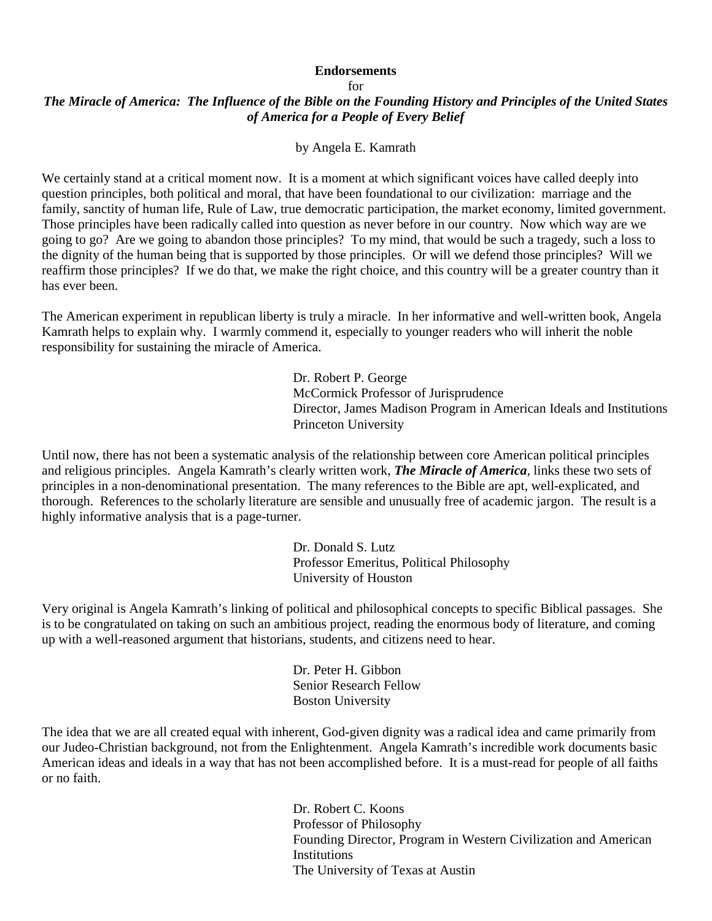## **Endorsements**

## for

## *The Miracle of America: The Influence of the Bible on the Founding History and Principles of the United States of America for a People of Every Belief*

by Angela E. Kamrath

We certainly stand at a critical moment now. It is a moment at which significant voices have called deeply into question principles, both political and moral, that have been foundational to our civilization: marriage and the family, sanctity of human life, Rule of Law, true democratic participation, the market economy, limited government. Those principles have been radically called into question as never before in our country. Now which way are we going to go? Are we going to abandon those principles? To my mind, that would be such a tragedy, such a loss to the dignity of the human being that is supported by those principles. Or will we defend those principles? Will we reaffirm those principles? If we do that, we make the right choice, and this country will be a greater country than it has ever been.

The American experiment in republican liberty is truly a miracle. In her informative and well-written book, Angela Kamrath helps to explain why. I warmly commend it, especially to younger readers who will inherit the noble responsibility for sustaining the miracle of America.

> Dr. Robert P. George McCormick Professor of Jurisprudence Director, James Madison Program in American Ideals and Institutions Princeton University

Until now, there has not been a systematic analysis of the relationship between core American political principles and religious principles. Angela Kamrath's clearly written work, *The Miracle of America*, links these two sets of principles in a non-denominational presentation. The many references to the Bible are apt, well-explicated, and thorough. References to the scholarly literature are sensible and unusually free of academic jargon. The result is a highly informative analysis that is a page-turner.

> Dr. Donald S. Lutz Professor Emeritus, Political Philosophy University of Houston

Very original is Angela Kamrath's linking of political and philosophical concepts to specific Biblical passages. She is to be congratulated on taking on such an ambitious project, reading the enormous body of literature, and coming up with a well-reasoned argument that historians, students, and citizens need to hear.

> Dr. Peter H. Gibbon Senior Research Fellow Boston University

The idea that we are all created equal with inherent, God-given dignity was a radical idea and came primarily from our Judeo-Christian background, not from the Enlightenment. Angela Kamrath's incredible work documents basic American ideas and ideals in a way that has not been accomplished before. It is a must-read for people of all faiths or no faith.

> Dr. Robert C. Koons Professor of Philosophy Founding Director, Program in Western Civilization and American **Institutions** The University of Texas at Austin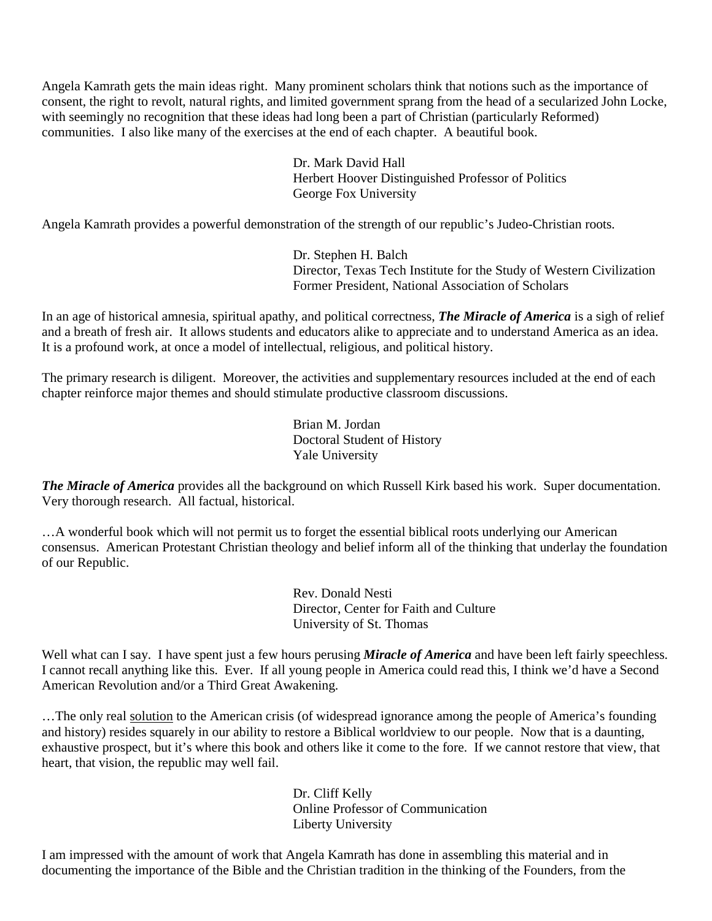Angela Kamrath gets the main ideas right. Many prominent scholars think that notions such as the importance of consent, the right to revolt, natural rights, and limited government sprang from the head of a secularized John Locke, with seemingly no recognition that these ideas had long been a part of Christian (particularly Reformed) communities. I also like many of the exercises at the end of each chapter. A beautiful book.

> Dr. Mark David Hall Herbert Hoover Distinguished Professor of Politics George Fox University

Angela Kamrath provides a powerful demonstration of the strength of our republic's Judeo-Christian roots.

Dr. Stephen H. Balch Director, Texas Tech Institute for the Study of Western Civilization Former President, National Association of Scholars

In an age of historical amnesia, spiritual apathy, and political correctness, *The Miracle of America* is a sigh of relief and a breath of fresh air. It allows students and educators alike to appreciate and to understand America as an idea. It is a profound work, at once a model of intellectual, religious, and political history.

The primary research is diligent. Moreover, the activities and supplementary resources included at the end of each chapter reinforce major themes and should stimulate productive classroom discussions.

> Brian M. Jordan Doctoral Student of History Yale University

*The Miracle of America* provides all the background on which Russell Kirk based his work. Super documentation. Very thorough research. All factual, historical.

…A wonderful book which will not permit us to forget the essential biblical roots underlying our American consensus. American Protestant Christian theology and belief inform all of the thinking that underlay the foundation of our Republic.

> Rev. Donald Nesti Director, Center for Faith and Culture University of St. Thomas

Well what can I say. I have spent just a few hours perusing *Miracle of America* and have been left fairly speechless. I cannot recall anything like this. Ever. If all young people in America could read this, I think we'd have a Second American Revolution and/or a Third Great Awakening.

…The only real solution to the American crisis (of widespread ignorance among the people of America's founding and history) resides squarely in our ability to restore a Biblical worldview to our people. Now that is a daunting, exhaustive prospect, but it's where this book and others like it come to the fore. If we cannot restore that view, that heart, that vision, the republic may well fail.

> Dr. Cliff Kelly Online Professor of Communication Liberty University

I am impressed with the amount of work that Angela Kamrath has done in assembling this material and in documenting the importance of the Bible and the Christian tradition in the thinking of the Founders, from the